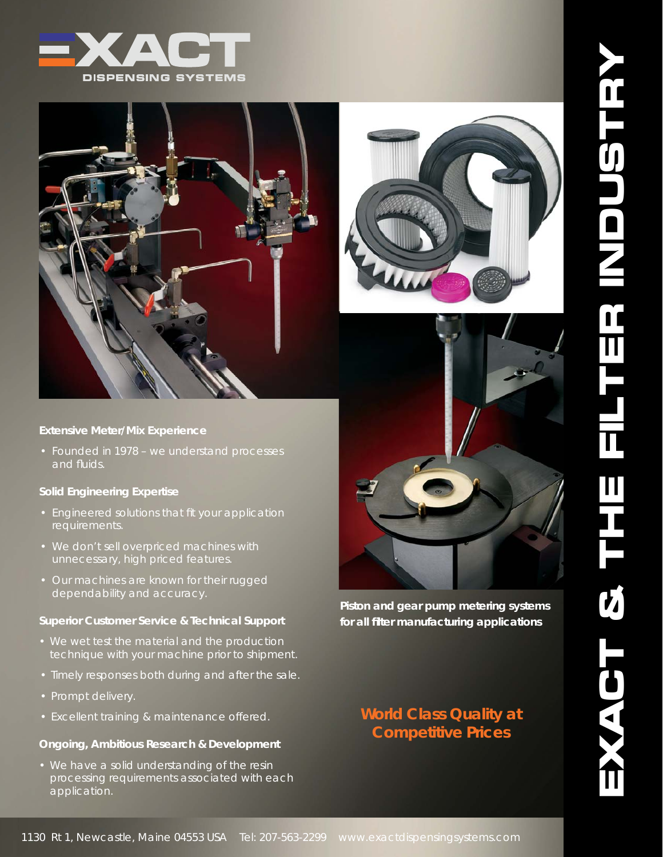



#### **Extensive Meter/Mix Experience**

• Founded in 1978 – we understand processes and fluids.

### **Solid Engineering Expertise**

- Engineered solutions that fit your application requirements.
- We don't sell overpriced machines with unnecessary, high priced features.
- Our machines are known for their rugged dependability and accuracy.

#### **Superior Customer Service & Technical Support**

- We wet test the material and the production technique with your machine prior to shipment.
- Timely responses both during and after the sale.
- Prompt delivery.
- Excellent training & maintenance offered.

## **Ongoing, Ambitious Research & Development**

• We have a solid understanding of the resin processing requirements associated with each application.





*Piston and gear pump metering systems for all fi lter manufacturing applications*

# *World Class Quality at Competitive Prices*